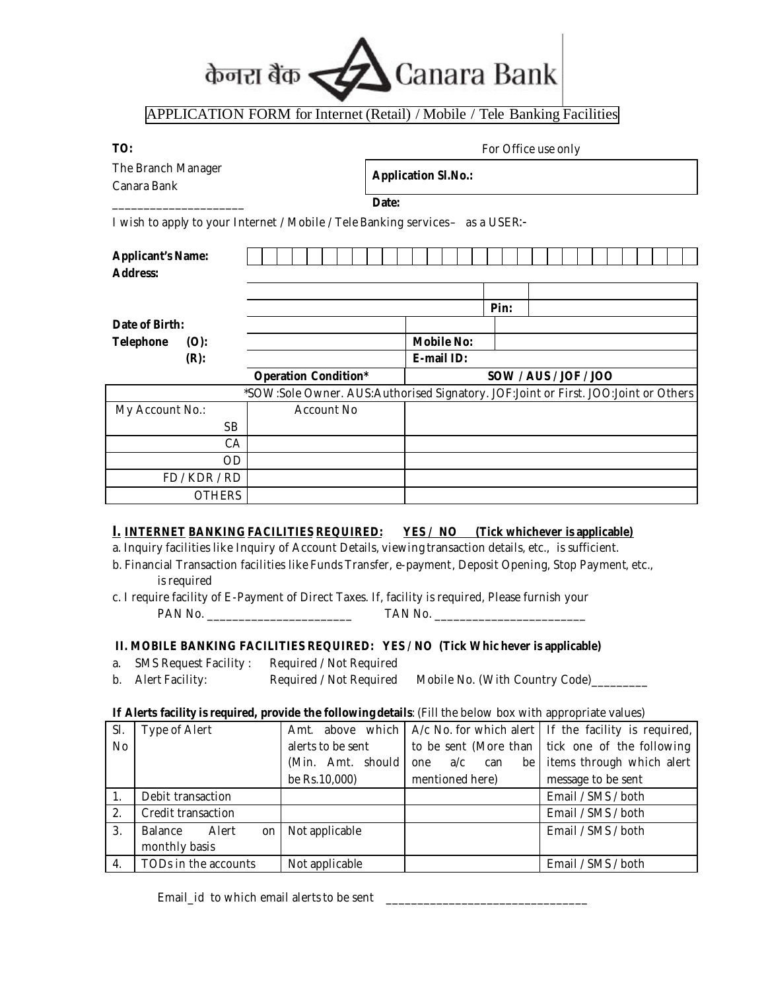# केनरा बैंक Canara Bank

#### $\overline{a}$ APPLICATION FORM for Internet (Retail) / Mobile / Tele Banking Facilities

 $\Gamma$ 

| I<br>.,<br>۰. | ×<br>I |
|---------------|--------|

#### **TO:** For Office use only

| <b>The Branch Manager</b><br>Canara Bank    |                                                                                | <b>Application Sl.No.:</b> |      |                                                                                    |
|---------------------------------------------|--------------------------------------------------------------------------------|----------------------------|------|------------------------------------------------------------------------------------|
|                                             | Date:                                                                          |                            |      |                                                                                    |
|                                             | I wish to apply to your Internet / Mobile / Tele Banking services- as a USER:- |                            |      |                                                                                    |
| <b>Applicant's Name:</b><br><b>Address:</b> |                                                                                |                            |      |                                                                                    |
|                                             |                                                                                |                            | Pin: |                                                                                    |
| Date of Birth:                              |                                                                                |                            |      |                                                                                    |
| <b>Telephone</b><br>(0):                    |                                                                                | <b>Mobile No:</b>          |      |                                                                                    |
| $(R)$ :                                     |                                                                                | E-mail ID:                 |      |                                                                                    |
|                                             | <b>Operation Condition*</b>                                                    |                            |      | SOW / AUS / JOF / JOO                                                              |
|                                             |                                                                                |                            |      | *SOW:Sole Owner. AUS:Authorised Signatory. JOF:Joint or First. JOO:Joint or Others |
| My Account No.:                             | Account No                                                                     |                            |      |                                                                                    |
| <b>SB</b>                                   |                                                                                |                            |      |                                                                                    |
| CA                                          |                                                                                |                            |      |                                                                                    |
| OD                                          |                                                                                |                            |      |                                                                                    |
| FD / KDR / RD                               |                                                                                |                            |      |                                                                                    |
| <b>OTHERS</b>                               |                                                                                |                            |      |                                                                                    |
|                                             |                                                                                |                            |      |                                                                                    |

## **I. INTERNET BANKING FACILITIES REQUIRED: YES / NO (Tick whichever is applicable)**

a. Inquiry facilities like Inquiry of Account Details, viewing transaction details, etc., is sufficient.

b. Financial Transaction facilities like Funds Transfer, e-payment, Deposit Opening, Stop Payment, etc., is required

c. I require facility of E-Payment of Direct Taxes. If, facility is required, Please furnish your PAN No. **TAN No.** TAN No.

# **II. MOBILE BANKING FACILITIES REQUIRED: YES / NO (Tick Whic hever is applicable)**

- a. SMS Request Facility : Required / Not Required
- b. Alert Facility: Required / Not Required Mobile No. (With Country Code)

## **If Alerts facility is required, provide the following details**: (Fill the below box with appropriate values)

| Sl. | <b>Type of Alert</b>   |                    |                   | Amt. above which $\vert$ A/c No. for which a lert $\vert$ If the facility is required, |
|-----|------------------------|--------------------|-------------------|----------------------------------------------------------------------------------------|
| No  |                        | alerts to be sent  |                   | to be sent (More than $\vert$ tick one of the following                                |
|     |                        | (Min. Amt. should) | a/c<br>can<br>one | be items through which alert                                                           |
|     |                        | be Rs.10,000)      | mentioned here)   | message to be sent                                                                     |
| 1.  | Debit transaction      |                    |                   | Email / SMS / both                                                                     |
| 2.  | Credit transaction     |                    |                   | Email / SMS / both                                                                     |
| 3.  | Balance<br>Alert<br>on | Not applicable     |                   | Email / SMS / both                                                                     |
|     | monthly basis          |                    |                   |                                                                                        |
| 4.  | TODs in the accounts   | Not applicable     |                   | Email / SMS / both                                                                     |

*Email\_id to which email alerts to be sent \_\_\_\_\_\_\_\_\_\_\_\_\_\_\_\_\_\_\_\_\_\_\_\_\_\_\_\_\_\_\_\_*